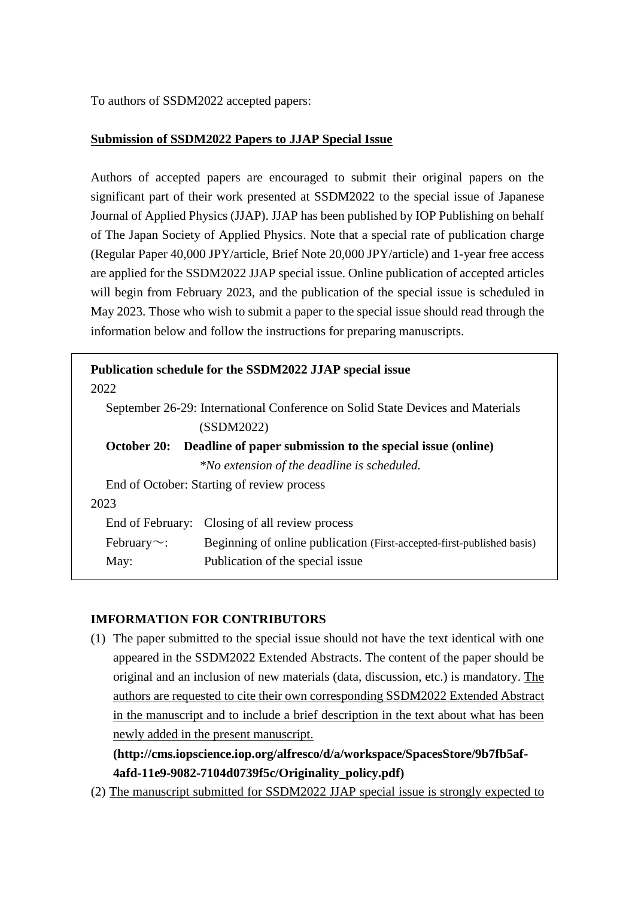To authors of SSDM2022 accepted papers:

## **Submission of SSDM2022 Papers to JJAP Special Issue**

Authors of accepted papers are encouraged to submit their original papers on the significant part of their work presented at SSDM2022 to the special issue of Japanese Journal of Applied Physics (JJAP). JJAP has been published by IOP Publishing on behalf of The Japan Society of Applied Physics. Note that a special rate of publication charge (Regular Paper 40,000 JPY/article, Brief Note 20,000 JPY/article) and 1-year free access are applied for the SSDM2022 JJAP special issue. Online publication of accepted articles will begin from February 2023, and the publication of the special issue is scheduled in May 2023. Those who wish to submit a paper to the special issue should read through the information below and follow the instructions for preparing manuscripts.

| Publication schedule for the SSDM2022 JJAP special issue<br>2022               |  |
|--------------------------------------------------------------------------------|--|
|                                                                                |  |
| September 26-29: International Conference on Solid State Devices and Materials |  |
| (SSDM2022)                                                                     |  |
| Deadline of paper submission to the special issue (online)                     |  |
| *No extension of the deadline is scheduled.                                    |  |
| End of October: Starting of review process                                     |  |
|                                                                                |  |
| End of February: Closing of all review process                                 |  |
| Beginning of online publication (First-accepted-first-published basis)         |  |
| Publication of the special issue                                               |  |
|                                                                                |  |

## **IMFORMATION FOR CONTRIBUTORS**

(1) The paper submitted to the special issue should not have the text identical with one appeared in the SSDM2022 Extended Abstracts. The content of the paper should be original and an inclusion of new materials (data, discussion, etc.) is mandatory. The authors are requested to cite their own corresponding SSDM2022 Extended Abstract in the manuscript and to include a brief description in the text about what has been newly added in the present manuscript.

**(http://cms.iopscience.iop.org/alfresco/d/a/workspace/SpacesStore/9b7fb5af-4afd-11e9-9082-7104d0739f5c/Originality\_policy.pdf)**

(2) The manuscript submitted for SSDM2022 JJAP special issue is strongly expected to